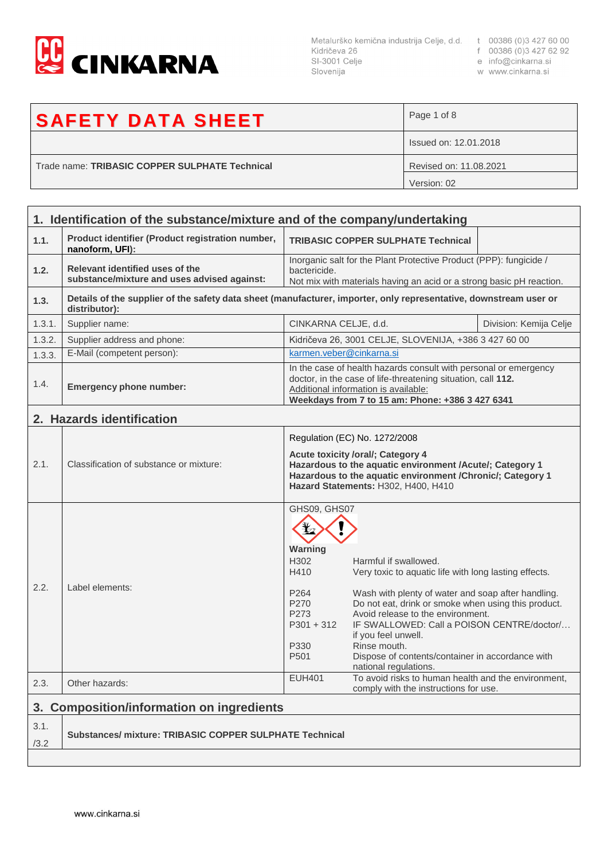

Slovenija

- 
- 
- w www.cinkarna.si

## Page 1 of 8 **SAFETY DATA SHEET** Issued on: 12.01.2018 Trade name: TRIBASIC COPPER SULPHATE Technical Revised on: 11.08.2021 Version: 02

| 1. Identification of the substance/mixture and of the company/undertaking |                                                                                                                                    |                                                                                                                                                                                                                                            |                                                                                                                                                                                                                                                                                                                                                                                                    |                        |
|---------------------------------------------------------------------------|------------------------------------------------------------------------------------------------------------------------------------|--------------------------------------------------------------------------------------------------------------------------------------------------------------------------------------------------------------------------------------------|----------------------------------------------------------------------------------------------------------------------------------------------------------------------------------------------------------------------------------------------------------------------------------------------------------------------------------------------------------------------------------------------------|------------------------|
| 1.1.                                                                      | Product identifier (Product registration number,<br>nanoform, UFI):                                                                |                                                                                                                                                                                                                                            | <b>TRIBASIC COPPER SULPHATE Technical</b>                                                                                                                                                                                                                                                                                                                                                          |                        |
| 1.2.                                                                      | Relevant identified uses of the<br>substance/mixture and uses advised against:                                                     | bactericide.                                                                                                                                                                                                                               | Inorganic salt for the Plant Protective Product (PPP): fungicide /<br>Not mix with materials having an acid or a strong basic pH reaction.                                                                                                                                                                                                                                                         |                        |
| 1.3.                                                                      | Details of the supplier of the safety data sheet (manufacturer, importer, only representative, downstream user or<br>distributor): |                                                                                                                                                                                                                                            |                                                                                                                                                                                                                                                                                                                                                                                                    |                        |
| 1.3.1.                                                                    | Supplier name:                                                                                                                     | CINKARNA CELJE, d.d.                                                                                                                                                                                                                       |                                                                                                                                                                                                                                                                                                                                                                                                    | Division: Kemija Celje |
| 1.3.2.                                                                    | Supplier address and phone:                                                                                                        |                                                                                                                                                                                                                                            | Kidričeva 26, 3001 CELJE, SLOVENIJA, +386 3 427 60 00                                                                                                                                                                                                                                                                                                                                              |                        |
| 1.3.3.                                                                    | E-Mail (competent person):                                                                                                         | karmen.veber@cinkarna.si                                                                                                                                                                                                                   |                                                                                                                                                                                                                                                                                                                                                                                                    |                        |
| 1.4.                                                                      | <b>Emergency phone number:</b>                                                                                                     |                                                                                                                                                                                                                                            | In the case of health hazards consult with personal or emergency<br>doctor, in the case of life-threatening situation, call 112.<br>Additional information is available:<br>Weekdays from 7 to 15 am: Phone: +386 3 427 6341                                                                                                                                                                       |                        |
|                                                                           | 2. Hazards identification                                                                                                          |                                                                                                                                                                                                                                            |                                                                                                                                                                                                                                                                                                                                                                                                    |                        |
| 2.1.                                                                      | Classification of substance or mixture:                                                                                            | Regulation (EC) No. 1272/2008<br><b>Acute toxicity /oral/; Category 4</b><br>Hazardous to the aquatic environment /Acute/; Category 1<br>Hazardous to the aquatic environment /Chronic/; Category 1<br>Hazard Statements: H302, H400, H410 |                                                                                                                                                                                                                                                                                                                                                                                                    |                        |
| 2.2.                                                                      | Label elements:                                                                                                                    | GHS09, GHS07<br>$\mathbf{\mathbf{F}}$<br>Warning<br>H302<br>H410<br>P264<br>P270<br>P273<br>$P301 + 312$<br>P330<br>P501                                                                                                                   | Harmful if swallowed.<br>Very toxic to aquatic life with long lasting effects.<br>Wash with plenty of water and soap after handling.<br>Do not eat, drink or smoke when using this product.<br>Avoid release to the environment.<br>IF SWALLOWED: Call a POISON CENTRE/doctor/<br>if you feel unwell.<br>Rinse mouth.<br>Dispose of contents/container in accordance with<br>national regulations. |                        |
| 2.3.                                                                      | Other hazards:                                                                                                                     | <b>EUH401</b>                                                                                                                                                                                                                              | To avoid risks to human health and the environment,<br>comply with the instructions for use.                                                                                                                                                                                                                                                                                                       |                        |
| <b>Composition/information on ingredients</b><br>3.                       |                                                                                                                                    |                                                                                                                                                                                                                                            |                                                                                                                                                                                                                                                                                                                                                                                                    |                        |
| 3.1.<br>/3.2                                                              | Substances/ mixture: TRIBASIC COPPER SULPHATE Technical                                                                            |                                                                                                                                                                                                                                            |                                                                                                                                                                                                                                                                                                                                                                                                    |                        |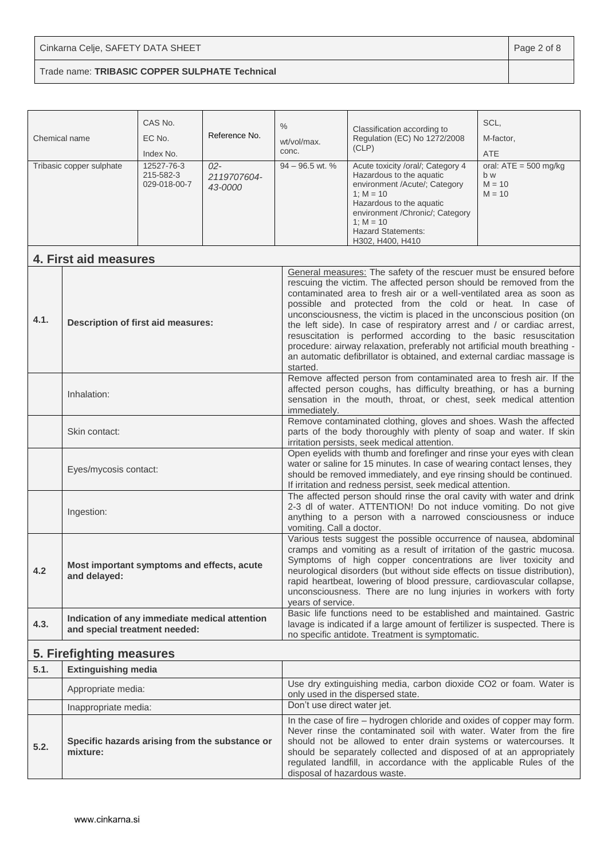## Trade name: **TRIBASIC COPPER SULPHATE Technical**

| Chemical name                              | Tribasic copper sulphate                                                       | CAS No.<br>EC No.<br>Index No.<br>12527-76-3<br>215-582-3<br>029-018-00-7 | Reference No.<br>$02 -$<br>2119707604-<br>43-0000                                                                                                                                                                                                                                                                                                                                                                                                                                                                                                                                                                                                          | $\%$<br>wt/vol/max.<br>conc.<br>$94 - 96.5$ wt. %                                                                                                                                                                                                                                                                                                                                                                                      | Classification according to<br>Regulation (EC) No 1272/2008<br>(CLP)<br>Acute toxicity /oral/; Category 4<br>Hazardous to the aquatic<br>environment /Acute/; Category<br>1; $M = 10$<br>Hazardous to the aquatic<br>environment / Chronic/; Category<br>1; $M = 10$<br><b>Hazard Statements:</b><br>H302, H400, H410                                       | SCL,<br>M-factor,<br><b>ATE</b><br>oral: $ATE = 500$ mg/kg<br>b w<br>$M = 10$<br>$M = 10$ |
|--------------------------------------------|--------------------------------------------------------------------------------|---------------------------------------------------------------------------|------------------------------------------------------------------------------------------------------------------------------------------------------------------------------------------------------------------------------------------------------------------------------------------------------------------------------------------------------------------------------------------------------------------------------------------------------------------------------------------------------------------------------------------------------------------------------------------------------------------------------------------------------------|----------------------------------------------------------------------------------------------------------------------------------------------------------------------------------------------------------------------------------------------------------------------------------------------------------------------------------------------------------------------------------------------------------------------------------------|-------------------------------------------------------------------------------------------------------------------------------------------------------------------------------------------------------------------------------------------------------------------------------------------------------------------------------------------------------------|-------------------------------------------------------------------------------------------|
|                                            | 4. First aid measures                                                          |                                                                           |                                                                                                                                                                                                                                                                                                                                                                                                                                                                                                                                                                                                                                                            |                                                                                                                                                                                                                                                                                                                                                                                                                                        |                                                                                                                                                                                                                                                                                                                                                             |                                                                                           |
| 4.1.<br>Description of first aid measures: |                                                                                | started.                                                                  | General measures: The safety of the rescuer must be ensured before<br>rescuing the victim. The affected person should be removed from the<br>contaminated area to fresh air or a well-ventilated area as soon as<br>possible and protected from the cold or heat. In case of<br>unconsciousness, the victim is placed in the unconscious position (on<br>the left side). In case of respiratory arrest and / or cardiac arrest,<br>resuscitation is performed according to the basic resuscitation<br>procedure: airway relaxation, preferably not artificial mouth breathing -<br>an automatic defibrillator is obtained, and external cardiac massage is |                                                                                                                                                                                                                                                                                                                                                                                                                                        |                                                                                                                                                                                                                                                                                                                                                             |                                                                                           |
|                                            | Inhalation:                                                                    |                                                                           | immediately.                                                                                                                                                                                                                                                                                                                                                                                                                                                                                                                                                                                                                                               | Remove affected person from contaminated area to fresh air. If the<br>affected person coughs, has difficulty breathing, or has a burning<br>sensation in the mouth, throat, or chest, seek medical attention                                                                                                                                                                                                                           |                                                                                                                                                                                                                                                                                                                                                             |                                                                                           |
|                                            | Skin contact:                                                                  |                                                                           |                                                                                                                                                                                                                                                                                                                                                                                                                                                                                                                                                                                                                                                            | Remove contaminated clothing, gloves and shoes. Wash the affected<br>parts of the body thoroughly with plenty of soap and water. If skin<br>irritation persists, seek medical attention.                                                                                                                                                                                                                                               |                                                                                                                                                                                                                                                                                                                                                             |                                                                                           |
|                                            | Eyes/mycosis contact:                                                          |                                                                           |                                                                                                                                                                                                                                                                                                                                                                                                                                                                                                                                                                                                                                                            | Open eyelids with thumb and forefinger and rinse your eyes with clean<br>water or saline for 15 minutes. In case of wearing contact lenses, they<br>should be removed immediately, and eye rinsing should be continued.<br>If irritation and redness persist, seek medical attention.<br>The affected person should rinse the oral cavity with water and drink                                                                         |                                                                                                                                                                                                                                                                                                                                                             |                                                                                           |
|                                            | Ingestion:                                                                     |                                                                           | vomiting. Call a doctor.                                                                                                                                                                                                                                                                                                                                                                                                                                                                                                                                                                                                                                   | 2-3 dl of water. ATTENTION! Do not induce vomiting. Do not give<br>anything to a person with a narrowed consciousness or induce                                                                                                                                                                                                                                                                                                        |                                                                                                                                                                                                                                                                                                                                                             |                                                                                           |
| 4.Z                                        | Most important symptoms and effects, acute<br>and delayed:                     |                                                                           | years of service.                                                                                                                                                                                                                                                                                                                                                                                                                                                                                                                                                                                                                                          | Various tests suggest the possible occurrence of nausea, abdominal<br>cramps and vomiting as a result of irritation of the gastric mucosa.<br>Symptoms of high copper concentrations are liver toxicity and<br>neurological disorders (but without side effects on tissue distribution),<br>rapid heartbeat, lowering of blood pressure, cardiovascular collapse,<br>unconsciousness. There are no lung injuries in workers with forty |                                                                                                                                                                                                                                                                                                                                                             |                                                                                           |
| 4.3.                                       | Indication of any immediate medical attention<br>and special treatment needed: |                                                                           |                                                                                                                                                                                                                                                                                                                                                                                                                                                                                                                                                                                                                                                            | Basic life functions need to be established and maintained. Gastric<br>lavage is indicated if a large amount of fertilizer is suspected. There is<br>no specific antidote. Treatment is symptomatic.                                                                                                                                                                                                                                   |                                                                                                                                                                                                                                                                                                                                                             |                                                                                           |
| 5. Firefighting measures                   |                                                                                |                                                                           |                                                                                                                                                                                                                                                                                                                                                                                                                                                                                                                                                                                                                                                            |                                                                                                                                                                                                                                                                                                                                                                                                                                        |                                                                                                                                                                                                                                                                                                                                                             |                                                                                           |
| 5.1.                                       | <b>Extinguishing media</b>                                                     |                                                                           |                                                                                                                                                                                                                                                                                                                                                                                                                                                                                                                                                                                                                                                            |                                                                                                                                                                                                                                                                                                                                                                                                                                        |                                                                                                                                                                                                                                                                                                                                                             |                                                                                           |
|                                            | Appropriate media:                                                             |                                                                           |                                                                                                                                                                                                                                                                                                                                                                                                                                                                                                                                                                                                                                                            |                                                                                                                                                                                                                                                                                                                                                                                                                                        | Use dry extinguishing media, carbon dioxide CO2 or foam. Water is<br>only used in the dispersed state.                                                                                                                                                                                                                                                      |                                                                                           |
|                                            | Inappropriate media:                                                           |                                                                           |                                                                                                                                                                                                                                                                                                                                                                                                                                                                                                                                                                                                                                                            | Don't use direct water jet.                                                                                                                                                                                                                                                                                                                                                                                                            |                                                                                                                                                                                                                                                                                                                                                             |                                                                                           |
| 5.2.                                       | Specific hazards arising from the substance or<br>mixture:                     |                                                                           |                                                                                                                                                                                                                                                                                                                                                                                                                                                                                                                                                                                                                                                            | disposal of hazardous waste.                                                                                                                                                                                                                                                                                                                                                                                                           | In the case of fire - hydrogen chloride and oxides of copper may form.<br>Never rinse the contaminated soil with water. Water from the fire<br>should not be allowed to enter drain systems or watercourses. It<br>should be separately collected and disposed of at an appropriately<br>regulated landfill, in accordance with the applicable Rules of the |                                                                                           |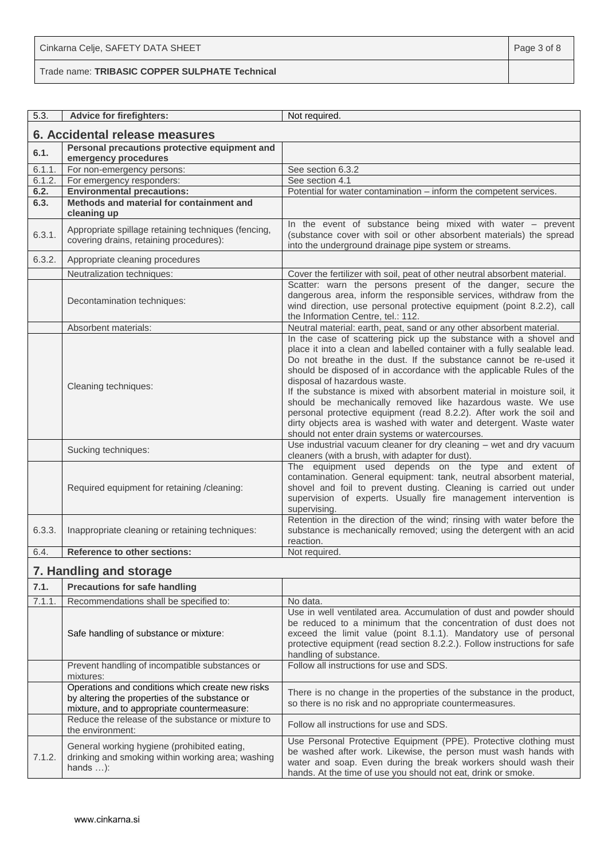Cinkarna Celje, SAFETY DATA SHEET **Page 3 of 8** 

| 5.3.         | <b>Advice for firefighters:</b>                                                                                                                   | Not required.                                                                                                                                                                                                                                                                                                                                                                                                                                                                                                                                                                                                                                                       |
|--------------|---------------------------------------------------------------------------------------------------------------------------------------------------|---------------------------------------------------------------------------------------------------------------------------------------------------------------------------------------------------------------------------------------------------------------------------------------------------------------------------------------------------------------------------------------------------------------------------------------------------------------------------------------------------------------------------------------------------------------------------------------------------------------------------------------------------------------------|
|              | 6. Accidental release measures                                                                                                                    |                                                                                                                                                                                                                                                                                                                                                                                                                                                                                                                                                                                                                                                                     |
| 6.1.         | Personal precautions protective equipment and                                                                                                     |                                                                                                                                                                                                                                                                                                                                                                                                                                                                                                                                                                                                                                                                     |
|              | emergency procedures                                                                                                                              |                                                                                                                                                                                                                                                                                                                                                                                                                                                                                                                                                                                                                                                                     |
| 6.1.1.       | For non-emergency persons:                                                                                                                        | See section 6.3.2                                                                                                                                                                                                                                                                                                                                                                                                                                                                                                                                                                                                                                                   |
| 6.1.2.       | For emergency responders:                                                                                                                         | See section 4.1                                                                                                                                                                                                                                                                                                                                                                                                                                                                                                                                                                                                                                                     |
| 6.2.<br>6.3. | <b>Environmental precautions:</b><br>Methods and material for containment and                                                                     | Potential for water contamination - inform the competent services.                                                                                                                                                                                                                                                                                                                                                                                                                                                                                                                                                                                                  |
|              | cleaning up                                                                                                                                       |                                                                                                                                                                                                                                                                                                                                                                                                                                                                                                                                                                                                                                                                     |
| 6.3.1.       | Appropriate spillage retaining techniques (fencing,<br>covering drains, retaining procedures):                                                    | In the event of substance being mixed with water - prevent<br>(substance cover with soil or other absorbent materials) the spread<br>into the underground drainage pipe system or streams.                                                                                                                                                                                                                                                                                                                                                                                                                                                                          |
| 6.3.2.       | Appropriate cleaning procedures                                                                                                                   |                                                                                                                                                                                                                                                                                                                                                                                                                                                                                                                                                                                                                                                                     |
|              | Neutralization techniques:                                                                                                                        | Cover the fertilizer with soil, peat of other neutral absorbent material.                                                                                                                                                                                                                                                                                                                                                                                                                                                                                                                                                                                           |
|              | Decontamination techniques:                                                                                                                       | Scatter: warn the persons present of the danger, secure the<br>dangerous area, inform the responsible services, withdraw from the<br>wind direction, use personal protective equipment (point 8.2.2), call<br>the Information Centre, tel.: 112.                                                                                                                                                                                                                                                                                                                                                                                                                    |
|              | Absorbent materials:                                                                                                                              | Neutral material: earth, peat, sand or any other absorbent material.                                                                                                                                                                                                                                                                                                                                                                                                                                                                                                                                                                                                |
|              | Cleaning techniques:                                                                                                                              | In the case of scattering pick up the substance with a shovel and<br>place it into a clean and labelled container with a fully sealable lead.<br>Do not breathe in the dust. If the substance cannot be re-used it<br>should be disposed of in accordance with the applicable Rules of the<br>disposal of hazardous waste.<br>If the substance is mixed with absorbent material in moisture soil, it<br>should be mechanically removed like hazardous waste. We use<br>personal protective equipment (read 8.2.2). After work the soil and<br>dirty objects area is washed with water and detergent. Waste water<br>should not enter drain systems or watercourses. |
|              | Sucking techniques:                                                                                                                               | Use industrial vacuum cleaner for dry cleaning - wet and dry vacuum<br>cleaners (with a brush, with adapter for dust).                                                                                                                                                                                                                                                                                                                                                                                                                                                                                                                                              |
|              | Required equipment for retaining /cleaning:                                                                                                       | The equipment used depends on the type and extent of<br>contamination. General equipment: tank, neutral absorbent material,<br>shovel and foil to prevent dusting. Cleaning is carried out under<br>supervision of experts. Usually fire management intervention is<br>supervising.                                                                                                                                                                                                                                                                                                                                                                                 |
| 6.3.3.       | Inappropriate cleaning or retaining techniques:                                                                                                   | Retention in the direction of the wind; rinsing with water before the<br>substance is mechanically removed; using the detergent with an acid<br>reaction.                                                                                                                                                                                                                                                                                                                                                                                                                                                                                                           |
| 6.4.         | Reference to other sections:                                                                                                                      | Not required.                                                                                                                                                                                                                                                                                                                                                                                                                                                                                                                                                                                                                                                       |
|              | 7. Handling and storage                                                                                                                           |                                                                                                                                                                                                                                                                                                                                                                                                                                                                                                                                                                                                                                                                     |
| 7.1.         | <b>Precautions for safe handling</b>                                                                                                              |                                                                                                                                                                                                                                                                                                                                                                                                                                                                                                                                                                                                                                                                     |
| 7.1.1.       | Recommendations shall be specified to:                                                                                                            | No data.                                                                                                                                                                                                                                                                                                                                                                                                                                                                                                                                                                                                                                                            |
|              | Safe handling of substance or mixture:                                                                                                            | Use in well ventilated area. Accumulation of dust and powder should<br>be reduced to a minimum that the concentration of dust does not<br>exceed the limit value (point 8.1.1). Mandatory use of personal<br>protective equipment (read section 8.2.2.). Follow instructions for safe<br>handling of substance.                                                                                                                                                                                                                                                                                                                                                     |
|              | Prevent handling of incompatible substances or<br>mixtures:                                                                                       | Follow all instructions for use and SDS.                                                                                                                                                                                                                                                                                                                                                                                                                                                                                                                                                                                                                            |
|              | Operations and conditions which create new risks<br>by altering the properties of the substance or<br>mixture, and to appropriate countermeasure: | There is no change in the properties of the substance in the product,<br>so there is no risk and no appropriate countermeasures.                                                                                                                                                                                                                                                                                                                                                                                                                                                                                                                                    |
|              | Reduce the release of the substance or mixture to<br>the environment:                                                                             | Follow all instructions for use and SDS.                                                                                                                                                                                                                                                                                                                                                                                                                                                                                                                                                                                                                            |
|              |                                                                                                                                                   | Use Personal Protective Equipment (PPE). Protective clothing must                                                                                                                                                                                                                                                                                                                                                                                                                                                                                                                                                                                                   |

7.1.2.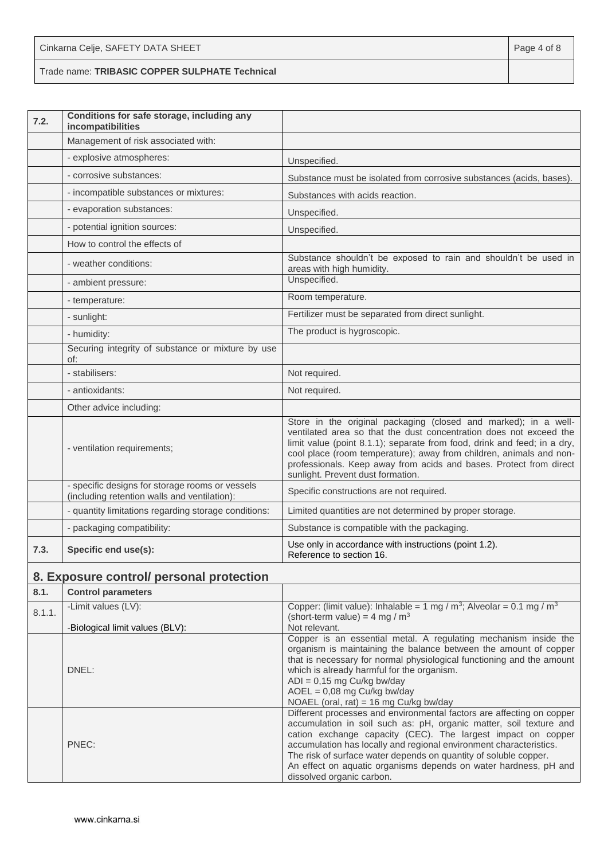| Cinkarna Celje, SAFETY DATA SHEET              | Page 4 of 8 |
|------------------------------------------------|-------------|
| Trade name: TRIBASIC COPPER SULPHATE Technical |             |

| 7.2. | Conditions for safe storage, including any<br>incompatibilities                                 |                                                                                                                                                                                                                                                                                                                                                                                                     |
|------|-------------------------------------------------------------------------------------------------|-----------------------------------------------------------------------------------------------------------------------------------------------------------------------------------------------------------------------------------------------------------------------------------------------------------------------------------------------------------------------------------------------------|
|      | Management of risk associated with:                                                             |                                                                                                                                                                                                                                                                                                                                                                                                     |
|      | - explosive atmospheres:                                                                        | Unspecified.                                                                                                                                                                                                                                                                                                                                                                                        |
|      | - corrosive substances:                                                                         | Substance must be isolated from corrosive substances (acids, bases).                                                                                                                                                                                                                                                                                                                                |
|      | - incompatible substances or mixtures:                                                          | Substances with acids reaction.                                                                                                                                                                                                                                                                                                                                                                     |
|      | - evaporation substances:                                                                       | Unspecified.                                                                                                                                                                                                                                                                                                                                                                                        |
|      | - potential ignition sources:                                                                   | Unspecified.                                                                                                                                                                                                                                                                                                                                                                                        |
|      | How to control the effects of                                                                   |                                                                                                                                                                                                                                                                                                                                                                                                     |
|      | - weather conditions:                                                                           | Substance shouldn't be exposed to rain and shouldn't be used in<br>areas with high humidity.                                                                                                                                                                                                                                                                                                        |
|      | - ambient pressure:                                                                             | Unspecified.                                                                                                                                                                                                                                                                                                                                                                                        |
|      | - temperature:                                                                                  | Room temperature.                                                                                                                                                                                                                                                                                                                                                                                   |
|      | - sunlight:                                                                                     | Fertilizer must be separated from direct sunlight.                                                                                                                                                                                                                                                                                                                                                  |
|      | - humidity:                                                                                     | The product is hygroscopic.                                                                                                                                                                                                                                                                                                                                                                         |
|      | Securing integrity of substance or mixture by use<br>of:                                        |                                                                                                                                                                                                                                                                                                                                                                                                     |
|      | - stabilisers:                                                                                  | Not required.                                                                                                                                                                                                                                                                                                                                                                                       |
|      | - antioxidants:                                                                                 | Not required.                                                                                                                                                                                                                                                                                                                                                                                       |
|      | Other advice including:                                                                         |                                                                                                                                                                                                                                                                                                                                                                                                     |
|      | - ventilation requirements;                                                                     | Store in the original packaging (closed and marked); in a well-<br>ventilated area so that the dust concentration does not exceed the<br>limit value (point 8.1.1); separate from food, drink and feed; in a dry,<br>cool place (room temperature); away from children, animals and non-<br>professionals. Keep away from acids and bases. Protect from direct<br>sunlight. Prevent dust formation. |
|      | - specific designs for storage rooms or vessels<br>(including retention walls and ventilation): | Specific constructions are not required.                                                                                                                                                                                                                                                                                                                                                            |
|      | - quantity limitations regarding storage conditions:                                            | Limited quantities are not determined by proper storage.                                                                                                                                                                                                                                                                                                                                            |
|      | - packaging compatibility:                                                                      | Substance is compatible with the packaging.                                                                                                                                                                                                                                                                                                                                                         |
| 7.3. | Specific end use(s):                                                                            | Use only in accordance with instructions (point 1.2).<br>Reference to section 16.                                                                                                                                                                                                                                                                                                                   |

## **8. Exposure control/ personal protection**

| 8.1.   | <b>Control parameters</b>       |                                                                                                                                                                                                                                                                                                                                                                                                                                                        |
|--------|---------------------------------|--------------------------------------------------------------------------------------------------------------------------------------------------------------------------------------------------------------------------------------------------------------------------------------------------------------------------------------------------------------------------------------------------------------------------------------------------------|
| 8.1.1. | -Limit values (LV):             | Copper: (limit value): Inhalable = 1 mg / $m^3$ ; Alveolar = 0.1 mg / $m^3$                                                                                                                                                                                                                                                                                                                                                                            |
|        |                                 | (short-term value) = 4 mg / $m3$                                                                                                                                                                                                                                                                                                                                                                                                                       |
|        | -Biological limit values (BLV): | Not relevant.                                                                                                                                                                                                                                                                                                                                                                                                                                          |
|        | DNEL:                           | Copper is an essential metal. A regulating mechanism inside the<br>organism is maintaining the balance between the amount of copper<br>that is necessary for normal physiological functioning and the amount<br>which is already harmful for the organism.<br>$ADI = 0.15$ mg Cu/kg bw/day<br>$AOEL = 0.08$ mg Cu/kg bw/day<br>NOAEL (oral, rat) = 16 mg Cu/kg bw/day                                                                                  |
|        | PNEC:                           | Different processes and environmental factors are affecting on copper<br>accumulation in soil such as: pH, organic matter, soil texture and<br>cation exchange capacity (CEC). The largest impact on copper<br>accumulation has locally and regional environment characteristics.<br>The risk of surface water depends on quantity of soluble copper.<br>An effect on aquatic organisms depends on water hardness, pH and<br>dissolved organic carbon. |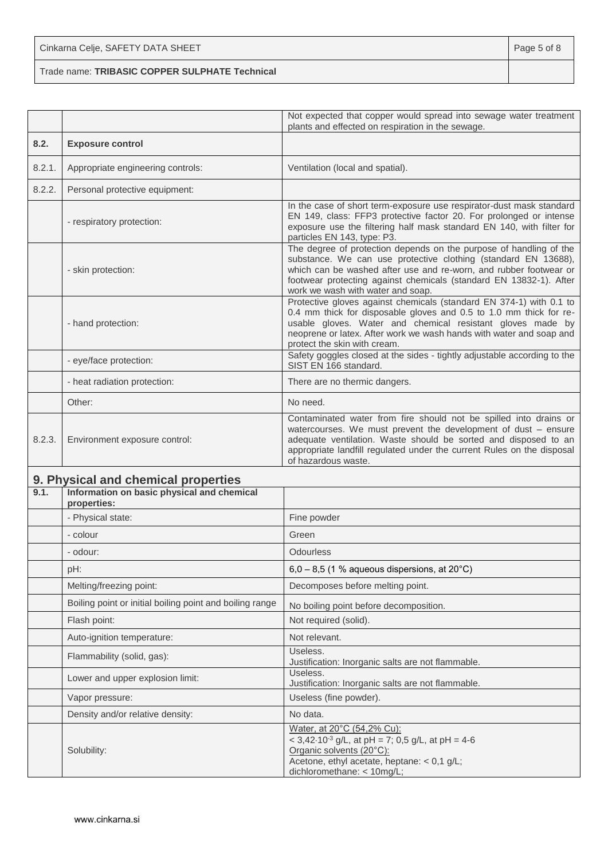| Cinkarna Celje, SAFETY DATA SHEET              | Page 5 of 8 |
|------------------------------------------------|-------------|
| Trade name: TRIBASIC COPPER SULPHATE Technical |             |

|        |                                                           | Not expected that copper would spread into sewage water treatment<br>plants and effected on respiration in the sewage.                                                                                                                                                                                               |
|--------|-----------------------------------------------------------|----------------------------------------------------------------------------------------------------------------------------------------------------------------------------------------------------------------------------------------------------------------------------------------------------------------------|
| 8.2.   | <b>Exposure control</b>                                   |                                                                                                                                                                                                                                                                                                                      |
| 8.2.1. | Appropriate engineering controls:                         | Ventilation (local and spatial).                                                                                                                                                                                                                                                                                     |
| 8.2.2. | Personal protective equipment:                            |                                                                                                                                                                                                                                                                                                                      |
|        | - respiratory protection:                                 | In the case of short term-exposure use respirator-dust mask standard<br>EN 149, class: FFP3 protective factor 20. For prolonged or intense<br>exposure use the filtering half mask standard EN 140, with filter for<br>particles EN 143, type: P3.                                                                   |
|        | - skin protection:                                        | The degree of protection depends on the purpose of handling of the<br>substance. We can use protective clothing (standard EN 13688),<br>which can be washed after use and re-worn, and rubber footwear or<br>footwear protecting against chemicals (standard EN 13832-1). After<br>work we wash with water and soap. |
|        | - hand protection:                                        | Protective gloves against chemicals (standard EN 374-1) with 0.1 to<br>0.4 mm thick for disposable gloves and 0.5 to 1.0 mm thick for re-<br>usable gloves. Water and chemical resistant gloves made by<br>neoprene or latex. After work we wash hands with water and soap and<br>protect the skin with cream.       |
|        | - eye/face protection:                                    | Safety goggles closed at the sides - tightly adjustable according to the<br>SIST EN 166 standard.                                                                                                                                                                                                                    |
|        | - heat radiation protection:                              | There are no thermic dangers.                                                                                                                                                                                                                                                                                        |
|        | Other:                                                    | No need.                                                                                                                                                                                                                                                                                                             |
| 8.2.3. | Environment exposure control:                             | Contaminated water from fire should not be spilled into drains or<br>watercourses. We must prevent the development of dust - ensure<br>adequate ventilation. Waste should be sorted and disposed to an<br>appropriate landfill regulated under the current Rules on the disposal<br>of hazardous waste.              |
|        | 9. Physical and chemical properties                       |                                                                                                                                                                                                                                                                                                                      |
| 9.1.   | Information on basic physical and chemical<br>properties: |                                                                                                                                                                                                                                                                                                                      |
|        | - Physical state:                                         | Fine powder                                                                                                                                                                                                                                                                                                          |
|        | - colour                                                  | Green                                                                                                                                                                                                                                                                                                                |
|        | - odour:                                                  | Odourless                                                                                                                                                                                                                                                                                                            |
|        | pH:                                                       | $6.0 - 8.5$ (1 % aqueous dispersions, at 20 $^{\circ}$ C)                                                                                                                                                                                                                                                            |
|        | Melting/freezing point:                                   | Decomposes before melting point.                                                                                                                                                                                                                                                                                     |
|        | Boiling point or initial boiling point and boiling range  | No boiling point before decomposition.                                                                                                                                                                                                                                                                               |
|        | Flash point:                                              | Not required (solid).                                                                                                                                                                                                                                                                                                |
|        | Auto-ignition temperature:                                | Not relevant.                                                                                                                                                                                                                                                                                                        |
|        | Flammability (solid, gas):                                | Useless.<br>Justification: Inorganic salts are not flammable.                                                                                                                                                                                                                                                        |
|        | Lower and upper explosion limit:                          | Useless.<br>Justification: Inorganic salts are not flammable.                                                                                                                                                                                                                                                        |
|        | Vapor pressure:                                           | Useless (fine powder).                                                                                                                                                                                                                                                                                               |
|        | Density and/or relative density:                          | No data.                                                                                                                                                                                                                                                                                                             |
|        | Solubility:                                               | Water, at 20°C (54,2% Cu):<br>< 3,42.10 <sup>-3</sup> g/L, at pH = 7; 0,5 g/L, at pH = 4-6<br>Organic solvents (20°C):<br>Acetone, ethyl acetate, heptane: $< 0.1$ g/L;<br>dichloromethane: < 10mg/L;                                                                                                                |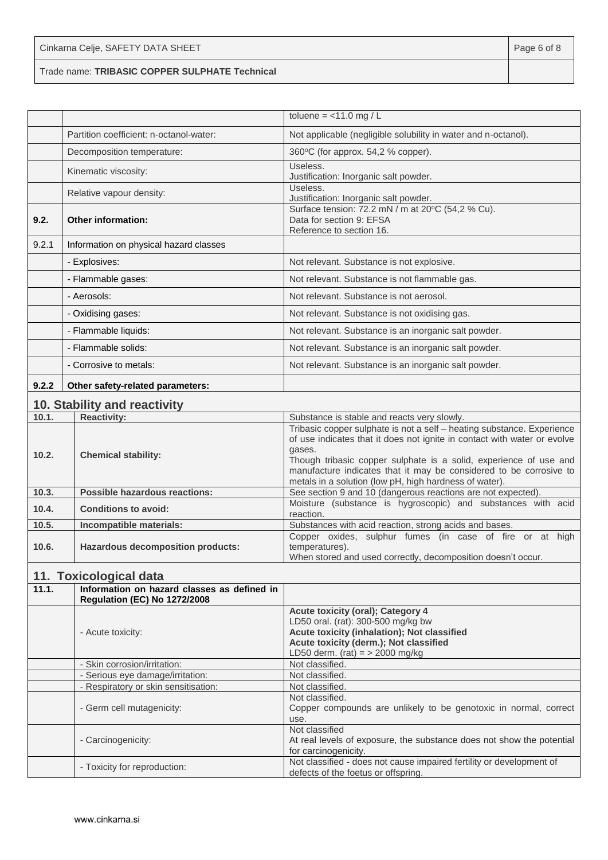Trade name: **TRIBASIC COPPER SULPHATE Technical**

|       |                                                                                    | toluene = $<$ 11.0 mg / L                                                                                                                                                                                                                                                                                                                                         |
|-------|------------------------------------------------------------------------------------|-------------------------------------------------------------------------------------------------------------------------------------------------------------------------------------------------------------------------------------------------------------------------------------------------------------------------------------------------------------------|
|       | Partition coefficient: n-octanol-water:                                            | Not applicable (negligible solubility in water and n-octanol).                                                                                                                                                                                                                                                                                                    |
|       | Decomposition temperature:                                                         | 360°C (for approx. 54,2 % copper).                                                                                                                                                                                                                                                                                                                                |
|       | Kinematic viscosity:                                                               | Useless.<br>Justification: Inorganic salt powder.                                                                                                                                                                                                                                                                                                                 |
|       | Relative vapour density:                                                           | Useless.<br>Justification: Inorganic salt powder.                                                                                                                                                                                                                                                                                                                 |
| 9.2.  | <b>Other information:</b>                                                          | Surface tension: 72.2 mN / m at 20°C (54,2 % Cu).<br>Data for section 9: EFSA<br>Reference to section 16.                                                                                                                                                                                                                                                         |
| 9.2.1 | Information on physical hazard classes                                             |                                                                                                                                                                                                                                                                                                                                                                   |
|       | - Explosives:                                                                      | Not relevant. Substance is not explosive.                                                                                                                                                                                                                                                                                                                         |
|       | - Flammable gases:                                                                 | Not relevant. Substance is not flammable gas.                                                                                                                                                                                                                                                                                                                     |
|       | - Aerosols:                                                                        | Not relevant. Substance is not aerosol.                                                                                                                                                                                                                                                                                                                           |
|       | - Oxidising gases:                                                                 | Not relevant. Substance is not oxidising gas.                                                                                                                                                                                                                                                                                                                     |
|       | - Flammable liquids:                                                               | Not relevant. Substance is an inorganic salt powder.                                                                                                                                                                                                                                                                                                              |
|       | - Flammable solids:                                                                | Not relevant. Substance is an inorganic salt powder.                                                                                                                                                                                                                                                                                                              |
|       | - Corrosive to metals:                                                             | Not relevant. Substance is an inorganic salt powder.                                                                                                                                                                                                                                                                                                              |
| 9.2.2 | Other safety-related parameters:                                                   |                                                                                                                                                                                                                                                                                                                                                                   |
|       | 10. Stability and reactivity                                                       |                                                                                                                                                                                                                                                                                                                                                                   |
| 10.1. | <b>Reactivity:</b>                                                                 | Substance is stable and reacts very slowly.                                                                                                                                                                                                                                                                                                                       |
| 10.2. | <b>Chemical stability:</b>                                                         | Tribasic copper sulphate is not a self - heating substance. Experience<br>of use indicates that it does not ignite in contact with water or evolve<br>gases.<br>Though tribasic copper sulphate is a solid, experience of use and<br>manufacture indicates that it may be considered to be corrosive to<br>metals in a solution (low pH, high hardness of water). |
| 10.3. | <b>Possible hazardous reactions:</b>                                               | See section 9 and 10 (dangerous reactions are not expected).                                                                                                                                                                                                                                                                                                      |
| 10.4. | Conditions to avoid:                                                               | Moisture (substance is hygroscopic) and substances with acid                                                                                                                                                                                                                                                                                                      |
| 10.5. | Incompatible materials:                                                            | reaction.<br>Substances with acid reaction, strong acids and bases.                                                                                                                                                                                                                                                                                               |
| 10.6. | <b>Hazardous decomposition products:</b>                                           | Copper oxides, sulphur fumes (in case of fire or at high<br>temperatures).<br>When stored and used correctly, decomposition doesn't occur.                                                                                                                                                                                                                        |
|       | 11. Toxicological data                                                             |                                                                                                                                                                                                                                                                                                                                                                   |
| 11.1. | Information on hazard classes as defined in<br><b>Regulation (EC) No 1272/2008</b> |                                                                                                                                                                                                                                                                                                                                                                   |
|       | - Acute toxicity:                                                                  | <b>Acute toxicity (oral); Category 4</b><br>LD50 oral. (rat): 300-500 mg/kg bw<br>Acute toxicity (inhalation); Not classified<br>Acute toxicity (derm.); Not classified<br>LD50 derm. (rat) = $>$ 2000 mg/kg                                                                                                                                                      |
|       | - Skin corrosion/irritation:                                                       | Not classified.                                                                                                                                                                                                                                                                                                                                                   |
|       | - Serious eye damage/irritation:<br>- Respiratory or skin sensitisation:           | Not classified.                                                                                                                                                                                                                                                                                                                                                   |
|       |                                                                                    | Not classified.<br>Not classified.                                                                                                                                                                                                                                                                                                                                |
|       | - Germ cell mutagenicity:                                                          | Copper compounds are unlikely to be genotoxic in normal, correct<br>use.                                                                                                                                                                                                                                                                                          |
|       | - Carcinogenicity:                                                                 | Not classified<br>At real levels of exposure, the substance does not show the potential<br>for carcinogenicity.                                                                                                                                                                                                                                                   |
|       | - Toxicity for reproduction:                                                       | Not classified - does not cause impaired fertility or development of<br>defects of the foetus or offspring.                                                                                                                                                                                                                                                       |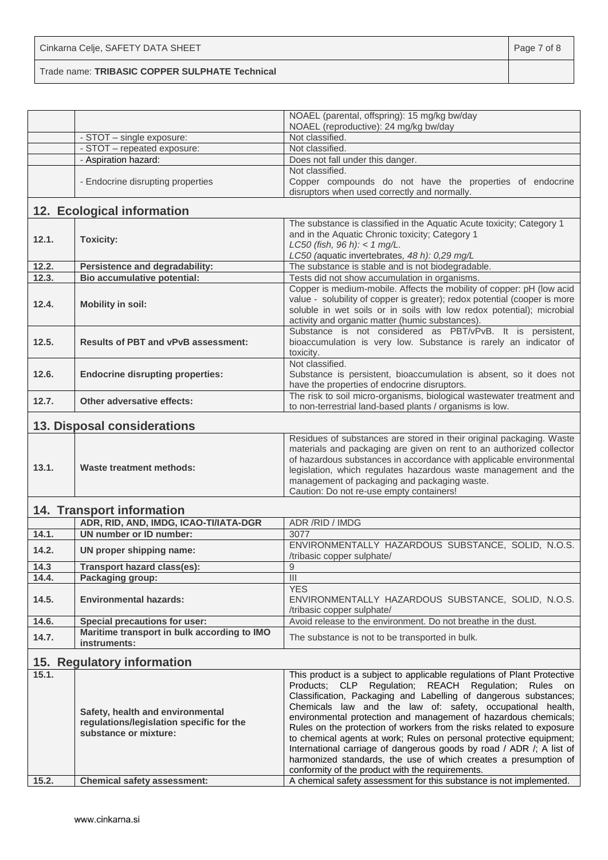Cinkarna Celje, SAFETY DATA SHEET **Page 7 of 8** Trade name: **TRIBASIC COPPER SULPHATE Technical**

|                             |                                                                                                                                             | NOAEL (parental, offspring): 15 mg/kg bw/day                                                                                                                                                                                                                                                                                                                                                                                                                                                                                                                                                                                                                                                                                                               |  |
|-----------------------------|---------------------------------------------------------------------------------------------------------------------------------------------|------------------------------------------------------------------------------------------------------------------------------------------------------------------------------------------------------------------------------------------------------------------------------------------------------------------------------------------------------------------------------------------------------------------------------------------------------------------------------------------------------------------------------------------------------------------------------------------------------------------------------------------------------------------------------------------------------------------------------------------------------------|--|
|                             |                                                                                                                                             | NOAEL (reproductive): 24 mg/kg bw/day                                                                                                                                                                                                                                                                                                                                                                                                                                                                                                                                                                                                                                                                                                                      |  |
|                             | - STOT - single exposure:<br>- STOT - repeated exposure:                                                                                    | Not classified.<br>Not classified.                                                                                                                                                                                                                                                                                                                                                                                                                                                                                                                                                                                                                                                                                                                         |  |
|                             | - Aspiration hazard:                                                                                                                        | Does not fall under this danger.                                                                                                                                                                                                                                                                                                                                                                                                                                                                                                                                                                                                                                                                                                                           |  |
|                             | - Endocrine disrupting properties                                                                                                           | Not classified.<br>Copper compounds do not have the properties of endocrine<br>disruptors when used correctly and normally.                                                                                                                                                                                                                                                                                                                                                                                                                                                                                                                                                                                                                                |  |
|                             | 12. Ecological information                                                                                                                  |                                                                                                                                                                                                                                                                                                                                                                                                                                                                                                                                                                                                                                                                                                                                                            |  |
| 12.1.                       | <b>Toxicity:</b>                                                                                                                            | The substance is classified in the Aquatic Acute toxicity; Category 1<br>and in the Aquatic Chronic toxicity; Category 1<br>LC50 (fish, 96 h): < $1$ mg/L.<br>LC50 (aquatic invertebrates, 48 h): 0,29 mg/L                                                                                                                                                                                                                                                                                                                                                                                                                                                                                                                                                |  |
| 12.2.                       | <b>Persistence and degradability:</b>                                                                                                       | The substance is stable and is not biodegradable.                                                                                                                                                                                                                                                                                                                                                                                                                                                                                                                                                                                                                                                                                                          |  |
| 12.3.                       | <b>Bio accumulative potential:</b>                                                                                                          | Tests did not show accumulation in organisms.                                                                                                                                                                                                                                                                                                                                                                                                                                                                                                                                                                                                                                                                                                              |  |
| 12.4.                       | <b>Mobility in soil:</b>                                                                                                                    | Copper is medium-mobile. Affects the mobility of copper: pH (low acid<br>value - solubility of copper is greater); redox potential (cooper is more<br>soluble in wet soils or in soils with low redox potential); microbial<br>activity and organic matter (humic substances).                                                                                                                                                                                                                                                                                                                                                                                                                                                                             |  |
| 12.5.                       | <b>Results of PBT and vPvB assessment:</b>                                                                                                  | Substance is not considered as PBT/vPvB. It is persistent,<br>bioaccumulation is very low. Substance is rarely an indicator of<br>toxicity.                                                                                                                                                                                                                                                                                                                                                                                                                                                                                                                                                                                                                |  |
| 12.6.                       | <b>Endocrine disrupting properties:</b>                                                                                                     | Not classified.<br>Substance is persistent, bioaccumulation is absent, so it does not<br>have the properties of endocrine disruptors.                                                                                                                                                                                                                                                                                                                                                                                                                                                                                                                                                                                                                      |  |
| 12.7.                       | Other adversative effects:                                                                                                                  | The risk to soil micro-organisms, biological wastewater treatment and<br>to non-terrestrial land-based plants / organisms is low.                                                                                                                                                                                                                                                                                                                                                                                                                                                                                                                                                                                                                          |  |
| 13. Disposal considerations |                                                                                                                                             |                                                                                                                                                                                                                                                                                                                                                                                                                                                                                                                                                                                                                                                                                                                                                            |  |
| 13.1.                       | <b>Waste treatment methods:</b>                                                                                                             | Residues of substances are stored in their original packaging. Waste<br>materials and packaging are given on rent to an authorized collector<br>of hazardous substances in accordance with applicable environmental<br>legislation, which regulates hazardous waste management and the<br>management of packaging and packaging waste.<br>Caution: Do not re-use empty containers!                                                                                                                                                                                                                                                                                                                                                                         |  |
|                             |                                                                                                                                             |                                                                                                                                                                                                                                                                                                                                                                                                                                                                                                                                                                                                                                                                                                                                                            |  |
|                             | <b>14. Transport information</b>                                                                                                            |                                                                                                                                                                                                                                                                                                                                                                                                                                                                                                                                                                                                                                                                                                                                                            |  |
|                             | ADR, RID, AND, IMDG, ICAO-TI/IATA-DGR                                                                                                       | ADR / RID / IMDG                                                                                                                                                                                                                                                                                                                                                                                                                                                                                                                                                                                                                                                                                                                                           |  |
| 14.1.<br>14.2.              | UN number or ID number:<br>UN proper shipping name:                                                                                         | 3077<br>ENVIRONMENTALLY HAZARDOUS SUBSTANCE, SOLID, N.O.S.                                                                                                                                                                                                                                                                                                                                                                                                                                                                                                                                                                                                                                                                                                 |  |
|                             |                                                                                                                                             | /tribasic copper sulphate/                                                                                                                                                                                                                                                                                                                                                                                                                                                                                                                                                                                                                                                                                                                                 |  |
| 14.3                        | <b>Transport hazard class(es):</b>                                                                                                          | $\boldsymbol{9}$                                                                                                                                                                                                                                                                                                                                                                                                                                                                                                                                                                                                                                                                                                                                           |  |
| 14.4.                       | Packaging group:                                                                                                                            | $\overline{III}$                                                                                                                                                                                                                                                                                                                                                                                                                                                                                                                                                                                                                                                                                                                                           |  |
| 14.5.                       | <b>Environmental hazards:</b>                                                                                                               | <b>YES</b><br>ENVIRONMENTALLY HAZARDOUS SUBSTANCE, SOLID, N.O.S.<br>/tribasic copper sulphate/                                                                                                                                                                                                                                                                                                                                                                                                                                                                                                                                                                                                                                                             |  |
| 14.6.                       | <b>Special precautions for user:</b>                                                                                                        | Avoid release to the environment. Do not breathe in the dust.                                                                                                                                                                                                                                                                                                                                                                                                                                                                                                                                                                                                                                                                                              |  |
| 14.7.                       | Maritime transport in bulk according to IMO<br>instruments:                                                                                 | The substance is not to be transported in bulk.                                                                                                                                                                                                                                                                                                                                                                                                                                                                                                                                                                                                                                                                                                            |  |
| 15. Regulatory information  |                                                                                                                                             |                                                                                                                                                                                                                                                                                                                                                                                                                                                                                                                                                                                                                                                                                                                                                            |  |
| 15.1.<br>15.2.              | Safety, health and environmental<br>regulations/legislation specific for the<br>substance or mixture:<br><b>Chemical safety assessment:</b> | This product is a subject to applicable regulations of Plant Protective<br>Products; CLP Regulation; REACH Regulation; Rules on<br>Classification, Packaging and Labelling of dangerous substances;<br>Chemicals law and the law of: safety, occupational health,<br>environmental protection and management of hazardous chemicals;<br>Rules on the protection of workers from the risks related to exposure<br>to chemical agents at work; Rules on personal protective equipment;<br>International carriage of dangerous goods by road / ADR /; A list of<br>harmonized standards, the use of which creates a presumption of<br>conformity of the product with the requirements.<br>A chemical safety assessment for this substance is not implemented. |  |
|                             |                                                                                                                                             |                                                                                                                                                                                                                                                                                                                                                                                                                                                                                                                                                                                                                                                                                                                                                            |  |